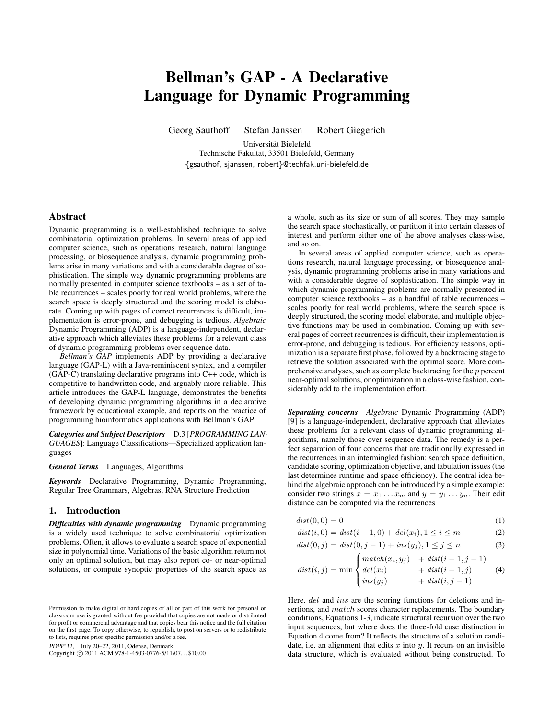# Bellman's GAP - A Declarative Language for Dynamic Programming

Georg Sauthoff Stefan Janssen Robert Giegerich

Universität Bielefeld Technische Fakultät, 33501 Bielefeld, Germany {gsauthof, sjanssen, robert}@techfak.uni-bielefeld.de

# Abstract

Dynamic programming is a well-established technique to solve combinatorial optimization problems. In several areas of applied computer science, such as operations research, natural language processing, or biosequence analysis, dynamic programming problems arise in many variations and with a considerable degree of sophistication. The simple way dynamic programming problems are normally presented in computer science textbooks – as a set of table recurrences – scales poorly for real world problems, where the search space is deeply structured and the scoring model is elaborate. Coming up with pages of correct recurrences is difficult, implementation is error-prone, and debugging is tedious. *Algebraic* Dynamic Programming (ADP) is a language-independent, declarative approach which alleviates these problems for a relevant class of dynamic programming problems over sequence data.

*Bellman's GAP* implements ADP by providing a declarative language (GAP-L) with a Java-reminiscent syntax, and a compiler (GAP-C) translating declarative programs into C++ code, which is competitive to handwritten code, and arguably more reliable. This article introduces the GAP-L language, demonstrates the benefits of developing dynamic programming algorithms in a declarative framework by educational example, and reports on the practice of programming bioinformatics applications with Bellman's GAP.

*Categories and Subject Descriptors* D.3 [*PROGRAMMING LAN-GUAGES*]: Language Classifications—Specialized application languages

*General Terms* Languages, Algorithms

*Keywords* Declarative Programming, Dynamic Programming, Regular Tree Grammars, Algebras, RNA Structure Prediction

#### 1. Introduction

*Difficulties with dynamic programming* Dynamic programming is a widely used technique to solve combinatorial optimization problems. Often, it allows to evaluate a search space of exponential size in polynomial time. Variations of the basic algorithm return not only an optimal solution, but may also report co- or near-optimal solutions, or compute synoptic properties of the search space as

PDPP'11, July 20–22, 2011, Odense, Denmark.

Copyright © 2011 ACM 978-1-4503-0776-5/11/07... \$10.00

a whole, such as its size or sum of all scores. They may sample the search space stochastically, or partition it into certain classes of interest and perform either one of the above analyses class-wise, and so on.

In several areas of applied computer science, such as operations research, natural language processing, or biosequence analysis, dynamic programming problems arise in many variations and with a considerable degree of sophistication. The simple way in which dynamic programming problems are normally presented in computer science textbooks – as a handful of table recurrences – scales poorly for real world problems, where the search space is deeply structured, the scoring model elaborate, and multiple objective functions may be used in combination. Coming up with several pages of correct recurrences is difficult, their implementation is error-prone, and debugging is tedious. For efficiency reasons, optimization is a separate first phase, followed by a backtracing stage to retrieve the solution associated with the optimal score. More comprehensive analyses, such as complete backtracing for the p percent near-optimal solutions, or optimization in a class-wise fashion, considerably add to the implementation effort.

*Separating concerns Algebraic* Dynamic Programming (ADP) [\[9\]](#page-10-0) is a language-independent, declarative approach that alleviates these problems for a relevant class of dynamic programming algorithms, namely those over sequence data. The remedy is a perfect separation of four concerns that are traditionally expressed in the recurrences in an intermingled fashion: search space definition, candidate scoring, optimization objective, and tabulation issues (the last determines runtime and space efficiency). The central idea behind the algebraic approach can be introduced by a simple example: consider two strings  $x = x_1 \dots x_m$  and  $y = y_1 \dots y_n$ . Their edit distance can be computed via the recurrences

<span id="page-0-1"></span><span id="page-0-0"></span>
$$
dist(0,0) = 0 \tag{1}
$$

$$
dist(i,0) = dist(i-1,0) + del(xi), 1 \le i \le m
$$
 (2)

$$
dist(0, j) = dist(0, j - 1) + ins(y_j), 1 \le j \le n
$$
\n(3)

<span id="page-0-2"></span>
$$
dist(i, j) = \min \begin{cases} match(x_i, y_j) & + dist(i - 1, j - 1) \\ del(x_i) & + dist(i - 1, j) \\ ins(y_j) & + dist(i, j - 1) \end{cases} \tag{4}
$$

Here, del and ins are the scoring functions for deletions and insertions, and *match* scores character replacements. The boundary conditions, Equations [1](#page-0-0)[-3,](#page-0-1) indicate structural recursion over the two input sequences, but where does the three-fold case distinction in Equation [4](#page-0-2) come from? It reflects the structure of a solution candidate, i.e. an alignment that edits  $x$  into  $y$ . It recurs on an invisible data structure, which is evaluated without being constructed. To

Permission to make digital or hard copies of all or part of this work for personal or classroom use is granted without fee provided that copies are not made or distributed for profit or commercial advantage and that copies bear this notice and the full citation on the first page. To copy otherwise, to republish, to post on servers or to redistribute to lists, requires prior specific permission and/or a fee.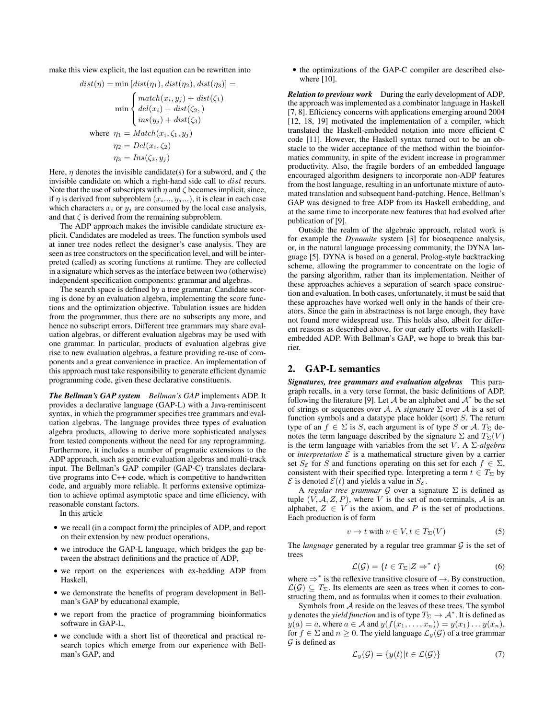make this view explicit, the last equation can be rewritten into

$$
dist(\eta) = \min\left[dist(\eta_1), dist(\eta_2), dist(\eta_3)\right] =
$$

$$
\min\left\{\begin{matrix}match(x_i, y_j) + dist(\zeta_1) \\ del(x_i) + dist(\zeta_2) \\ ins(y_j) + dist(\zeta_3) \end{matrix}\right\}
$$

$$
\text{where } \eta_1 = Match(x_i, \zeta_1, y_j)
$$

$$
\eta_2 = Del(x_i, \zeta_2)
$$

$$
\eta_3 = Ins(\zeta_3, y_j)
$$

Here,  $\eta$  denotes the invisible candidate(s) for a subword, and  $\zeta$  the invisible candidate on which a right-hand side call to *dist* recurs. Note that the use of subscripts with  $\eta$  and  $\zeta$  becomes implicit, since, if  $\eta$  is derived from subproblem  $(x_i, \ldots, y_j, \ldots)$ , it is clear in each case which characters  $x_i$  or  $y_j$  are consumed by the local case analysis, and that  $\zeta$  is derived from the remaining subproblem.

The ADP approach makes the invisible candidate structure explicit. Candidates are modeled as trees. The function symbols used at inner tree nodes reflect the designer's case analysis. They are seen as tree constructors on the specification level, and will be interpreted (called) as scoring functions at runtime. They are collected in a signature which serves as the interface between two (otherwise) independent specification components: grammar and algebras.

The search space is defined by a tree grammar. Candidate scoring is done by an evaluation algebra, implementing the score functions and the optimization objective. Tabulation issues are hidden from the programmer, thus there are no subscripts any more, and hence no subscript errors. Different tree grammars may share evaluation algebras, or different evaluation algebras may be used with one grammar. In particular, products of evaluation algebras give rise to new evaluation algebras, a feature providing re-use of components and a great convenience in practice. An implementation of this approach must take responsibility to generate efficient dynamic programming code, given these declarative constituents.

*The Bellman's GAP system Bellman's GAP* implements ADP. It provides a declarative language (GAP-L) with a Java-reminiscent syntax, in which the programmer specifies tree grammars and evaluation algebras. The language provides three types of evaluation algebra products, allowing to derive more sophisticated analyses from tested components without the need for any reprogramming. Furthermore, it includes a number of pragmatic extensions to the ADP approach, such as generic evaluation algebras and multi-track input. The Bellman's GAP compiler (GAP-C) translates declarative programs into C++ code, which is competitive to handwritten code, and arguably more reliable. It performs extensive optimization to achieve optimal asymptotic space and time efficiency, with reasonable constant factors.

In this article

- we recall (in a compact form) the principles of ADP, and report on their extension by new product operations,
- we introduce the GAP-L language, which bridges the gap between the abstract definitions and the practice of ADP,
- we report on the experiences with ex-bedding ADP from Haskell,
- we demonstrate the benefits of program development in Bellman's GAP by educational example,
- we report from the practice of programming bioinformatics software in GAP-L,
- we conclude with a short list of theoretical and practical research topics which emerge from our experience with Bellman's GAP, and

• the optimizations of the GAP-C compiler are described elsewhere [\[10\]](#page-10-1).

*Relation to previous work* During the early development of ADP, the approach was implemented as a combinator language in Haskell [\[7,](#page-10-2) [8\]](#page-10-3). Efficiency concerns with applications emerging around 2004 [\[12,](#page-10-4) [18,](#page-10-5) [19\]](#page-10-6) motivated the implementation of a compiler, which translated the Haskell-embedded notation into more efficient C code [\[11\]](#page-10-7). However, the Haskell syntax turned out to be an obstacle to the wider acceptance of the method within the bioinformatics community, in spite of the evident increase in programmer productivity. Also, the fragile borders of an embedded language encouraged algorithm designers to incorporate non-ADP features from the host language, resulting in an unfortunate mixture of automated translation and subsequent hand-patching. Hence, Bellman's GAP was designed to free ADP from its Haskell embedding, and at the same time to incorporate new features that had evolved after publication of [\[9\]](#page-10-0).

Outside the realm of the algebraic approach, related work is for example the *Dynamite* system [\[3\]](#page-10-8) for biosequence analysis, or, in the natural language processing community, the DYNA language [\[5\]](#page-10-9). DYNA is based on a general, Prolog-style backtracking scheme, allowing the programmer to concentrate on the logic of the parsing algorithm, rather than its implementation. Neither of these approaches achieves a separation of search space construction and evaluation. In both cases, unfortunately, it must be said that these approaches have worked well only in the hands of their creators. Since the gain in abstractness is not large enough, they have not found more widespread use. This holds also, albeit for different reasons as described above, for our early efforts with Haskellembedded ADP. With Bellman's GAP, we hope to break this barrier.

## 2. GAP-L semantics

*Signatures, tree grammars and evaluation algebras* This paragraph recalls, in a very terse format, the basic definitions of ADP, following the literature [\[9\]](#page-10-0). Let A be an alphabet and  $A^*$  be the set of strings or sequences over A. A *signature* Σ over A is a set of function symbols and a datatype place holder (sort) S. The return type of an  $f \in \Sigma$  is S, each argument is of type S or A.  $T_{\Sigma}$  denotes the term language described by the signature  $\Sigma$  and  $T_{\Sigma}(V)$ is the term language with variables from the set V. A  $\Sigma$ -algebra or *interpretation*  $\mathcal E$  is a mathematical structure given by a carrier set  $S_{\mathcal{E}}$  for S and functions operating on this set for each  $f \in \Sigma$ , consistent with their specified type. Interpreting a term  $t \in T_{\Sigma}$  by  $\mathcal E$  is denoted  $\mathcal E(t)$  and yields a value in  $S_{\mathcal E}$ .

A *regular tree grammar*  $G$  over a signature  $\Sigma$  is defined as tuple  $(V, A, Z, P)$ , where V is the set of non-terminals, A is an alphabet,  $Z \in V$  is the axiom, and P is the set of productions. Each production is of form

<span id="page-1-0"></span>
$$
v \to t \text{ with } v \in V, t \in T_{\Sigma}(V) \tag{5}
$$

The *language* generated by a regular tree grammar  $G$  is the set of trees

<span id="page-1-1"></span>
$$
\mathcal{L}(\mathcal{G}) = \{ t \in T_{\Sigma} | Z \Rightarrow^* t \}
$$
 (6)

where  $\Rightarrow^*$  is the reflexive transitive closure of  $\rightarrow$ . By construction,  $\mathcal{L}(\mathcal{G}) \subseteq T_{\Sigma}$ . Its elements are seen as trees when it comes to constructing them, and as formulas when it comes to their evaluation.

Symbols from  $A$  reside on the leaves of these trees. The symbol y denotes the *yield function* and is of type  $T_{\Sigma} \to \mathcal{A}^*$ . It is defined as  $y(a) = a$ , where  $a \in A$  and  $y(f(x_1, \ldots, x_n)) = y(x_1) \ldots y(x_n)$ , for  $f \in \Sigma$  and  $n \geq 0$ . The yield language  $\mathcal{L}_y(\mathcal{G})$  of a tree grammar  $G$  is defined as

$$
\mathcal{L}_y(\mathcal{G}) = \{ y(t) | t \in \mathcal{L}(\mathcal{G}) \} \tag{7}
$$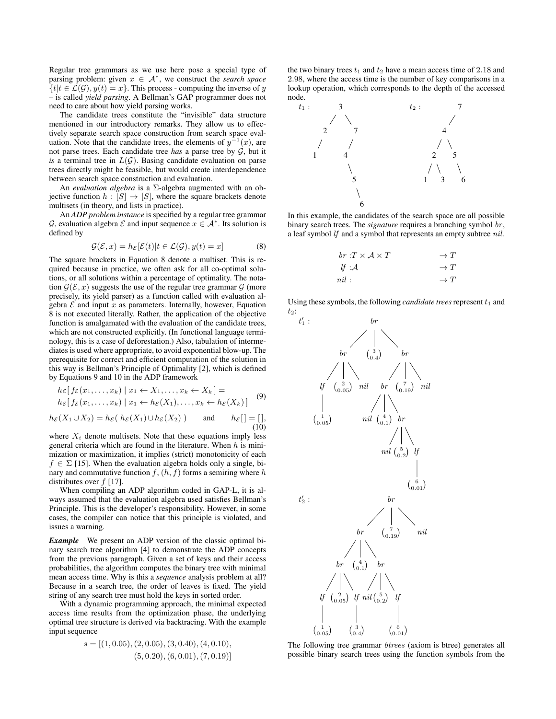Regular tree grammars as we use here pose a special type of parsing problem: given  $x \in A^*$ , we construct the *search space*  $\{t | t \in \mathcal{L}(\mathcal{G}), y(t) = x\}.$  This process - computing the inverse of y – is called *yield parsing*. A Bellman's GAP programmer does not need to care about how yield parsing works.

The candidate trees constitute the "invisible" data structure mentioned in our introductory remarks. They allow us to effectively separate search space construction from search space evaluation. Note that the candidate trees, the elements of  $y^{-1}$  $x^1(x)$ , are not parse trees. Each candidate tree *has* a parse tree by G, but it *is* a terminal tree in  $L(G)$ . Basing candidate evaluation on parse trees directly might be feasible, but would create interdependence between search space construction and evaluation.

An *evaluation algebra* is a Σ-algebra augmented with an objective function  $h : [S] \rightarrow [S]$ , where the square brackets denote multisets (in theory, and lists in practice).

An *ADP problem instance* is specified by a regular tree grammar  $\mathcal{G}$ , evaluation algebra  $\mathcal{E}$  and input sequence  $x \in \mathcal{A}^*$ . Its solution is defined by

<span id="page-2-0"></span>
$$
\mathcal{G}(\mathcal{E}, x) = h_{\mathcal{E}}[\mathcal{E}(t)|t \in \mathcal{L}(\mathcal{G}), y(t) = x]
$$
\n(8)

The square brackets in Equation [8](#page-2-0) denote a multiset. This is required because in practice, we often ask for all co-optimal solutions, or all solutions within a percentage of optimality. The notation  $\mathcal{G}(\mathcal{E}, x)$  suggests the use of the regular tree grammar  $\mathcal{G}$  (more precisely, its yield parser) as a function called with evaluation algebra  $\mathcal E$  and input  $x$  as parameters. Internally, however, Equation [8](#page-2-0) is not executed literally. Rather, the application of the objective function is amalgamated with the evaluation of the candidate trees, which are not constructed explicitly. (In functional language terminology, this is a case of deforestation.) Also, tabulation of intermediates is used where appropriate, to avoid exponential blow-up. The prerequisite for correct and efficient computation of the solution in this way is Bellman's Principle of Optimality [\[2\]](#page-10-10), which is defined by Equations [9](#page-2-1) and [10](#page-2-2) in the ADP framework

<span id="page-2-1"></span>
$$
h_{\mathcal{E}}[f_{\mathcal{E}}(x_1,\ldots,x_k) \mid x_1 \leftarrow X_1,\ldots,x_k \leftarrow X_k] =
$$
  
\n
$$
h_{\mathcal{E}}[f_{\mathcal{E}}(x_1,\ldots,x_k) \mid x_1 \leftarrow h_{\mathcal{E}}(X_1),\ldots,x_k \leftarrow h_{\mathcal{E}}(X_k)]
$$
 (9)

<span id="page-2-2"></span>
$$
h_{\mathcal{E}}(X_1 \cup X_2) = h_{\mathcal{E}}(h_{\mathcal{E}}(X_1) \cup h_{\mathcal{E}}(X_2)) \quad \text{and} \quad h_{\mathcal{E}}[]= [],
$$
\n(10)

where  $X_i$  denote multisets. Note that these equations imply less general criteria which are found in the literature. When  $h$  is minimization or maximization, it implies (strict) monotonicity of each  $f \in \Sigma$  [\[15\]](#page-10-11). When the evaluation algebra holds only a single, binary and commutative function  $f$ ,  $(h, f)$  forms a semiring where  $h$ distributes over  $f$  [\[17\]](#page-10-12).

When compiling an ADP algorithm coded in GAP-L, it is always assumed that the evaluation algebra used satisfies Bellman's Principle. This is the developer's responsibility. However, in some cases, the compiler can notice that this principle is violated, and issues a warning.

**Example** We present an ADP version of the classic optimal binary search tree algorithm [\[4\]](#page-10-13) to demonstrate the ADP concepts from the previous paragraph. Given a set of keys and their access probabilities, the algorithm computes the binary tree with minimal mean access time. Why is this a *sequence* analysis problem at all? Because in a search tree, the order of leaves is fixed. The yield string of any search tree must hold the keys in sorted order.

With a dynamic programming approach, the minimal expected access time results from the optimization phase, the underlying optimal tree structure is derived via backtracing. With the example input sequence

$$
s = [(1, 0.05), (2, 0.05), (3, 0.40), (4, 0.10),(5, 0.20), (6, 0.01), (7, 0.19)]
$$

the two binary trees  $t_1$  and  $t_2$  have a mean access time of 2.18 and 2.98, where the access time is the number of key comparisons in a lookup operation, which corresponds to the depth of the accessed node.



In this example, the candidates of the search space are all possible binary search trees. The *signature* requires a branching symbol br, a leaf symbol lf and a symbol that represents an empty subtree nil.

| br: $T \times A \times T$ | $\rightarrow T$ |
|---------------------------|-----------------|
| If : $A$                  | $\rightarrow T$ |
| nil:                      | $\rightarrow T$ |

Using these symbols, the following *candidate trees* represent  $t_1$  and  $t_2$ :



The following tree grammar btrees (axiom is btree) generates all possible binary search trees using the function symbols from the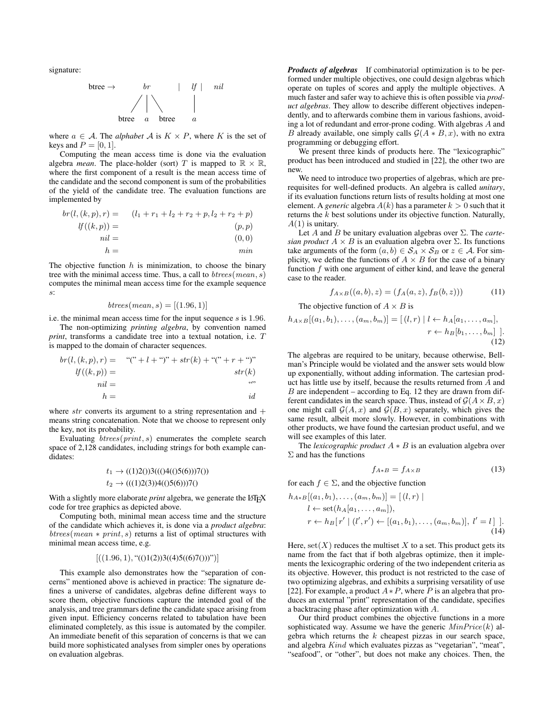signature:

$$
\begin{array}{c|c}\n \text{btree} \rightarrow & br & | & \text{if} & \text{nil} \\
 & & & \text{btree} & & \text{ul} \\
 & & & \text{btree} & a & \text{blue}\n\end{array}
$$

where  $a \in \mathcal{A}$ . The *alphabet*  $\mathcal{A}$  is  $K \times P$ , where K is the set of keys and  $P = [0, 1]$ .

Computing the mean access time is done via the evaluation algebra *mean*. The place-holder (sort) T is mapped to  $\mathbb{R} \times \mathbb{R}$ , where the first component of a result is the mean access time of the candidate and the second component is sum of the probabilities of the yield of the candidate tree. The evaluation functions are implemented by

$$
br(l, (k, p), r) = (l_1 + r_1 + l_2 + r_2 + p, l_2 + r_2 + p)
$$
  

$$
lf((k, p)) = (p, p)
$$
  

$$
nil = (0, 0)
$$

$$
h = \min \left( \min \left( \frac{1}{2} \right) \right)
$$

The objective function  $h$  is minimization, to choose the binary tree with the minimal access time. Thus, a call to  $b$ trees(mean, s) computes the minimal mean access time for the example sequence s:

$$
btrees(mean, s) = [(1.96, 1)]
$$

i.e. the minimal mean access time for the input sequence s is 1.96.

The non-optimizing *printing algebra*, by convention named *print*, transforms a candidate tree into a textual notation, i.e. T is mapped to the domain of character sequences.

$$
br(l, (k, p), r) = "(" + l + ")" + str(k) + "(" + r + ")"
$$
  

$$
lf((k, p)) =
$$
  

$$
nil =
$$
  

$$
h =
$$
  

$$
id
$$

where str converts its argument to a string representation and  $+$ means string concatenation. Note that we choose to represent only the key, not its probability.

Evaluating  $btrees(print, s)$  enumerates the complete search space of 2,128 candidates, including strings for both example candidates:

$$
t_1 \rightarrow ((1)2())3(((04)(05(6))7())
$$
  

$$
t_2 \rightarrow (((1)2(3))4((05(6))7()
$$

With a slightly more elaborate *print* algebra, we generate the LATEX code for tree graphics as depicted above.

Computing both, minimal mean access time and the structure of the candidate which achieves it, is done via a *product algebra*:  $btrees(mean * print, s)$  returns a list of optimal structures with minimal mean access time, e.g.

$$
[((1.96, 1), ((1(2))3((4)5((6)7()))")]
$$

This example also demonstrates how the "separation of concerns" mentioned above is achieved in practice: The signature defines a universe of candidates, algebras define different ways to score them, objective functions capture the intended goal of the analysis, and tree grammars define the candidate space arising from given input. Efficiency concerns related to tabulation have been eliminated completely, as this issue is automated by the compiler. An immediate benefit of this separation of concerns is that we can build more sophisticated analyses from simpler ones by operations on evaluation algebras.

*Products of algebras* If combinatorial optimization is to be performed under multiple objectives, one could design algebras which operate on tuples of scores and apply the multiple objectives. A much faster and safer way to achieve this is often possible via *product algebras*. They allow to describe different objectives independently, and to afterwards combine them in various fashions, avoiding a lot of redundant and error-prone coding. With algebras A and B already available, one simply calls  $G(A * B, x)$ , with no extra programming or debugging effort.

We present three kinds of products here. The "lexicographic" product has been introduced and studied in [\[22\]](#page-10-14), the other two are new.

We need to introduce two properties of algebras, which are prerequisites for well-defined products. An algebra is called *unitary*, if its evaluation functions return lists of results holding at most one element. A *generic* algebra  $A(k)$  has a parameter  $k > 0$  such that it returns the  $k$  best solutions under its objective function. Naturally,  $A(1)$  is unitary.

Let A and B be unitary evaluation algebras over Σ. The *cartesian product*  $A \times B$  is an evaluation algebra over  $\Sigma$ . Its functions take arguments of the form  $(a, b) \in S_A \times S_B$  or  $z \in A$ . For simplicity, we define the functions of  $A \times B$  for the case of a binary function  $f$  with one argument of either kind, and leave the general case to the reader.

$$
f_{A \times B}((a, b), z) = (f_A(a, z), f_B(b, z)))
$$
 (11)

The objective function of  $A \times B$  is

<span id="page-3-0"></span>
$$
h_{A \times B}[(a_1, b_1), \dots, (a_m, b_m)] = [(l, r) | l \leftarrow h_A[a_1, \dots, a_m], r \leftarrow h_B[b_1, \dots, b_m] ].
$$
\n(12)

The algebras are required to be unitary, because otherwise, Bellman's Principle would be violated and the answer sets would blow up exponentially, without adding information. The cartesian product has little use by itself, because the results returned from A and  $B$  are independent – according to Eq. [12](#page-3-0) they are drawn from different candidates in the search space. Thus, instead of  $\mathcal{G}(A \times B, x)$ one might call  $\mathcal{G}(A, x)$  and  $\mathcal{G}(B, x)$  separately, which gives the same result, albeit more slowly. However, in combinations with other products, we have found the cartesian product useful, and we will see examples of this later.

The *lexicographic product*  $A * B$  is an evaluation algebra over  $\Sigma$  and has the functions

$$
f_{A*B} = f_{A \times B} \tag{13}
$$

for each  $f \in \Sigma$ , and the objective function

<span id="page-3-1"></span>
$$
h_{A*B}[(a_1, b_1), \dots, (a_m, b_m)] = [(l, r) |l \leftarrow set(h_A[a_1, \dots, a_m]),r \leftarrow h_B[r' | (l', r') \leftarrow [(a_1, b_1), \dots, (a_m, b_m)], l' = l] ].
$$
\n(14)

Here, set(X) reduces the multiset X to a set. This product gets its name from the fact that if both algebras optimize, then it implements the lexicographic ordering of the two independent criteria as its objective. However, this product is not restricted to the case of two optimizing algebras, and exhibits a surprising versatility of use [\[22\]](#page-10-14). For example, a product  $A * P$ , where P is an algebra that produces an external "print" representation of the candidate, specifies a backtracing phase after optimization with A.

Our third product combines the objective functions in a more sophisticated way. Assume we have the generic  $MinPrice(k)$  algebra which returns the  $k$  cheapest pizzas in our search space, and algebra Kind which evaluates pizzas as "vegetarian", "meat", "seafood", or "other", but does not make any choices. Then, the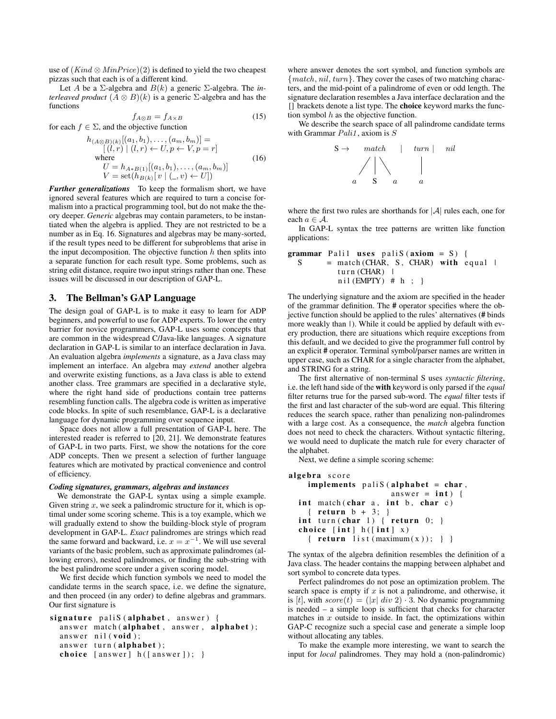use of  $(Kind \otimes MinPrice)(2)$  is defined to yield the two cheapest pizzas such that each is of a different kind.

Let A be a  $\Sigma$ -algebra and  $B(k)$  a generic  $\Sigma$ -algebra. The *interleaved product*  $(A \otimes B)(k)$  is a generic  $\Sigma$ -algebra and has the functions

$$
f_{A\otimes B} = f_{A\times B} \tag{15}
$$

for each  $f \in \Sigma$ , and the objective function

<span id="page-4-0"></span>
$$
h_{(A \otimes B)(k)}[(a_1, b_1), \dots, (a_m, b_m)] =
$$
  
\n
$$
[(l, r) | (l, r) \leftarrow U, p \leftarrow V, p = r]
$$
  
\nwhere  
\n
$$
U = h_{A*B(1)}[(a_1, b_1), \dots, (a_m, b_m)]
$$
  
\n
$$
V = set(h_{B(k)}[v | (\_, v) \leftarrow U])
$$
\n(16)

*Further generalizations* To keep the formalism short, we have ignored several features which are required to turn a concise formalism into a practical programming tool, but do not make the theory deeper. *Generic* algebras may contain parameters, to be instantiated when the algebra is applied. They are not restricted to be a number as in Eq. [16.](#page-4-0) Signatures and algebras may be many-sorted, if the result types need to be different for subproblems that arise in the input decomposition. The objective function  $h$  then splits into a separate function for each result type. Some problems, such as string edit distance, require two input strings rather than one. These issues will be discussed in our description of GAP-L.

## 3. The Bellman's GAP Language

The design goal of GAP-L is to make it easy to learn for ADP beginners, and powerful to use for ADP experts. To lower the entry barrier for novice programmers, GAP-L uses some concepts that are common in the widespread C/Java-like languages. A signature declaration in GAP-L is similar to an interface declaration in Java. An evaluation algebra *implements* a signature, as a Java class may implement an interface. An algebra may *extend* another algebra and overwrite existing functions, as a Java class is able to extend another class. Tree grammars are specified in a declarative style, where the right hand side of productions contain tree patterns resembling function calls. The algebra code is written as imperative code blocks. In spite of such resemblance, GAP-L is a declarative language for dynamic programming over sequence input.

Space does not allow a full presentation of GAP-L here. The interested reader is referred to [\[20,](#page-10-15) [21\]](#page-10-16). We demonstrate features of GAP-L in two parts. First, we show the notations for the core ADP concepts. Then we present a selection of further language features which are motivated by practical convenience and control of efficiency.

#### *Coding signatures, grammars, algebras and instances*

We demonstrate the GAP-L syntax using a simple example. Given string  $x$ , we seek a palindromic structure for it, which is optimal under some scoring scheme. This is a toy example, which we will gradually extend to show the building-block style of program development in GAP-L. *Exact* palindromes are strings which read the same forward and backward, i.e.  $x = x^{-1}$ . We will use several variants of the basic problem, such as approximate palindromes (allowing errors), nested palindromes, or finding the sub-string with the best palindrome score under a given scoring model.

We first decide which function symbols we need to model the candidate terms in the search space, i.e. we define the signature, and then proceed (in any order) to define algebras and grammars. Our first signature is

```
signature paliS (alphabet, answer) {
 answer match ( alphabet, answer, alphabet);
 answer nil (void);
  answer turn (alphabet);
  choice [answer] h([answer]); }
```
where answer denotes the sort symbol, and function symbols are  ${math, nil, turn}.$  They cover the cases of two matching characters, and the mid-point of a palindrome of even or odd length. The signature declaration resembles a Java interface declaration and the [] brackets denote a list type. The **choice** keyword marks the function symbol  $h$  as the objective function.

We describe the search space of all palindrome candidate terms with Grammar  $Pali1$ , axiom is  $S$ 



where the first two rules are shorthands for  $|\mathcal{A}|$  rules each, one for each  $a \in \mathcal{A}$ .

In GAP-L syntax the tree patterns are written like function applications:

**grammar** 
$$
Pali1
$$
 **uses**  $paliS$  (**axiom** = S) {  
\nS = match (CHAR, S, CHAR) **with** equal |  
\n**turn** (CHAR) |  
\nnil (EMPTY) # h ; }

The underlying signature and the axiom are specified in the header of the grammar definition. The # operator specifies where the objective function should be applied to the rules' alternatives (# binds more weakly than 1). While it could be applied by default with every production, there are situations which require exceptions from this default, and we decided to give the programmer full control by an explicit # operator. Terminal symbol/parser names are written in upper case, such as CHAR for a single character from the alphabet, and STRING for a string.

The first alternative of non-terminal S uses *syntactic filtering*, i.e. the left hand side of the with keyword is only parsed if the *equal* filter returns true for the parsed sub-word. The *equal* filter tests if the first and last character of the sub-word are equal. This filtering reduces the search space, rather than penalizing non-palindromes with a large cost. As a consequence, the *match* algebra function does not need to check the characters. Without syntactic filtering, we would need to duplicate the match rule for every character of the alphabet.

Next, we define a simple scoring scheme:

```
algebra score
     implements p \text{alis} (alphabet = char,
                           answer = int) {
  int match (char a, int b, char c)
     { return b + 3; }
  int turn (char 1) { return 0; }choice \lceil \text{int} \rceil h(\lceil \text{int} \rceil x)
     { return list (\text{maximum}(x)); } }
```
The syntax of the algebra definition resembles the definition of a Java class. The header contains the mapping between alphabet and sort symbol to concrete data types.

Perfect palindromes do not pose an optimization problem. The search space is empty if  $x$  is not a palindrome, and otherwise, it is [t], with  $score(t) = (|x| \ div 2) \cdot 3$ . No dynamic programming is needed – a simple loop is sufficient that checks for character matches in  $x$  outside to inside. In fact, the optimizations within GAP-C recognize such a special case and generate a simple loop without allocating any tables.

To make the example more interesting, we want to search the input for *local* palindromes. They may hold a (non-palindromic)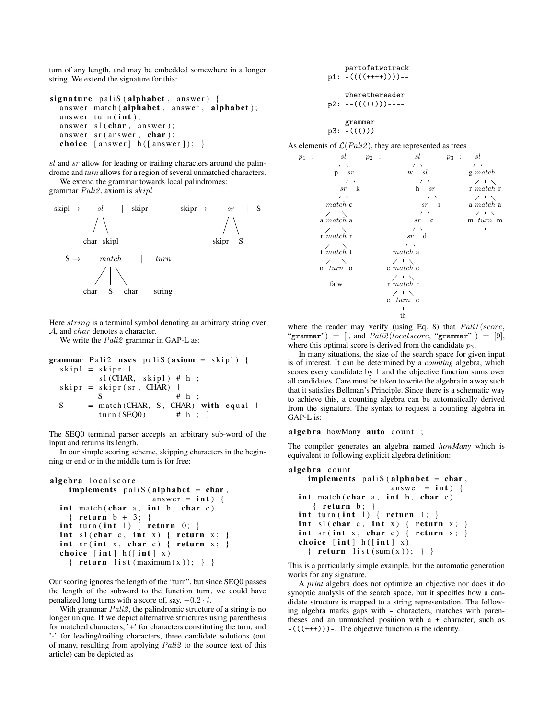turn of any length, and may be embedded somewhere in a longer string. We extend the signature for this:

```
signature paliS (alphabet, answer) {
  answer match (alphabet, answer, alphabet);
  answer turn(int);
 answer sl(char, answer);answer sr (answer, char);
  choice [answer] h([answer]); }
```
sl and sr allow for leading or trailing characters around the palindrome and *turn* allows for a region of several unmatched characters.

We extend the grammar towards local palindromes: grammar  $Pali2$ , axiom is  $skipl$ 



Here string is a terminal symbol denoting an arbitrary string over A, and *char* denotes a character.

We write the *Pali2* grammar in GAP-L as:

```
grammar Pali2 uses paliS (axiom = skipl) {
  skipl = skipr |
          sl (CHAR, skip 1) # h;
  skip = skip skip f = skip f(sr, CHAR)S # h;
  S = match (CHAR, S, CHAR) with equal lturn (SEQ0) # h ; }
```
The SEQ0 terminal parser accepts an arbitrary sub-word of the input and returns its length.

In our simple scoring scheme, skipping characters in the beginning or end or in the middle turn is for free:

```
algebra localscore
    implements p \text{alis} (alphabet = char,
                         answer = int) {
  int match (char a, int b, char c)
    { return b + 3; }
  int turn (int 1) { return 0; }
  int sl(char c, int x) { return x;
  int sr(int x, char c) { return x; }choice \lceil \text{int} \rceil h(\lceil \text{int} \rceil x)
    { return \, list (maximum(x)); \}}
```
Our scoring ignores the length of the "turn", but since SEQ0 passes the length of the subword to the function turn, we could have penalized long turns with a score of, say,  $-0.2 \cdot l$ .

With grammar  $Pali2$ , the palindromic structure of a string is no longer unique. If we depict alternative structures using parenthesis for matched characters, '+' for characters constituting the turn, and '-' for leading/trailing characters, three candidate solutions (out of many, resulting from applying Pali2 to the source text of this article) can be depicted as

```
partofatwotrack
p1: -((((++++))))--
    wherethereader
p2: --(((++)))----
    grammar
p3: -(((())
```
As elements of  $\mathcal{L}(Pali2)$ , they are represented as trees



where the reader may verify (using Eq. [8\)](#page-2-0) that  $Pali1$  (score, "grammar") =  $\Box$ , and  $Pali2 (localscore, "grammar") = [9],$ where this optimal score is derived from the candidate  $p_3$ .

In many situations, the size of the search space for given input is of interest. It can be determined by a *counting* algebra, which scores every candidate by 1 and the objective function sums over all candidates. Care must be taken to write the algebra in a way such that it satisfies Bellman's Principle. Since there is a schematic way to achieve this, a counting algebra can be automatically derived from the signature. The syntax to request a counting algebra in GAP-L is:

#### algebra howMany auto count ;

The compiler generates an algebra named *howMany* which is equivalent to following explicit algebra definition:

# algebra count

```
implements p \text{alis} (alphabet = char,
                    answer = int) {
int match (char a, int b, char c)\{ return b; \}int turn(int 1) { return 1; }int sl(char c, int x) { return x; }
int sr(int x, char c) { return x; }choice [int] h([int] x){ return list (sum(x)); } }
```
This is a particularly simple example, but the automatic generation works for any signature.

A *print* algebra does not optimize an objective nor does it do synoptic analysis of the search space, but it specifies how a candidate structure is mapped to a string representation. The following algebra marks gaps with - characters, matches with parentheses and an unmatched position with a + character, such as –(((+++)))-. The objective function is the identity.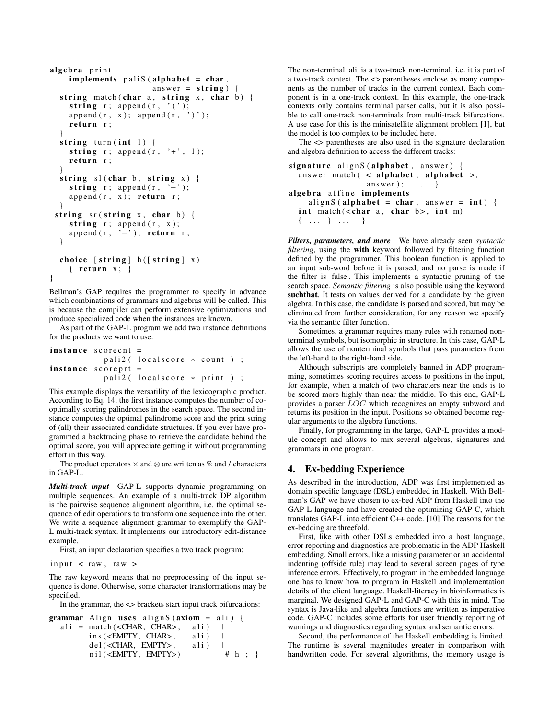```
algebra print
    implements p \text{alis} (alphabet = char,
                       answer = string) {
  string match (char a, string x, char b) {
    string r; append (r, '('));append(r, x); append(r, '')');return r;
  }
  string turn (int 1) {
    string r; append (r, '+'', 1);
    return r:
  }
  string sl(char b, string x) {
    string r; append (r, '-'');
    append(r, x); return r;
  }
 string sr(\text{string } x, \text{ char } b) {
    string r; append (r, x);
    append(r, '-''); return r;
  }
  choice [string] h([string] x)\{ return x; \}}
```
Bellman's GAP requires the programmer to specify in advance which combinations of grammars and algebras will be called. This is because the compiler can perform extensive optimizations and produce specialized code when the instances are known.

As part of the GAP-L program we add two instance definitions for the products we want to use:

```
instance scorecnt =
           pali2 ( local score * count );
instance scoreprt =
           pali2 ( localscore * print ) ;
```
This example displays the versatility of the lexicographic product. According to Eq. [14,](#page-3-1) the first instance computes the number of cooptimally scoring palindromes in the search space. The second instance computes the optimal palindrome score and the print string of (all) their associated candidate structures. If you ever have programmed a backtracing phase to retrieve the candidate behind the optimal score, you will appreciate getting it without programming effort in this way.

The product operators  $\times$  and  $\otimes$  are written as % and / characters in GAP-L.

*Multi-track input* GAP-L supports dynamic programming on multiple sequences. An example of a multi-track DP algorithm is the pairwise sequence alignment algorithm, i.e. the optimal sequence of edit operations to transform one sequence into the other. We write a sequence alignment grammar to exemplify the GAP-L multi-track syntax. It implements our introductory edit-distance example.

First, an input declaration specifies a two track program:

 $input < raw, raw >$ 

The raw keyword means that no preprocessing of the input sequence is done. Otherwise, some character transformations may be specified.

In the grammar, the  $\leq$  brackets start input track bifurcations:

```
grammar Align uses alignS (axiom = ali) {
    ali = match(<math>CHAR</math>, <math>CHAR</math>), <math>ali</math>)ins (\epsilon \in \text{MPTY}, \text{CHAR} >, \text{ all } i ) |<br>del(<CHAR, EMPTY>, ali) |
             del(<CHAR, EMPTY>,
             ni1(<b>EMPTY</b>, <b>EMPTY</b>) # h ; }
```
The non-terminal ali is a two-track non-terminal, i.e. it is part of a two-track context. The <> parentheses enclose as many components as the number of tracks in the current context. Each component is in a one-track context. In this example, the one-track contexts only contains terminal parser calls, but it is also possible to call one-track non-terminals from multi-track bifurcations. A use case for this is the minisatellite alignment problem [\[1\]](#page-10-17), but the model is too complex to be included here.

The <> parentheses are also used in the signature declaration and algebra definition to access the different tracks:

```
signature alignS (alphabet, answer) {
  answer match ( < alphabet, alphabet >,
                 answer ; \ldots}
algebra affine implements
    alignS (alphabet = char, answer = int) {
  int match(<char a, char b>, int m)
  \{ \ldots \} \ldots \}
```
*Filters, parameters, and more* We have already seen *syntactic filtering*, using the with keyword followed by filtering function defined by the programmer. This boolean function is applied to an input sub-word before it is parsed, and no parse is made if the filter is false . This implements a syntactic pruning of the search space. *Semantic filtering* is also possible using the keyword such that. It tests on values derived for a candidate by the given algebra. In this case, the candidate is parsed and scored, but may be eliminated from further consideration, for any reason we specify via the semantic filter function.

Sometimes, a grammar requires many rules with renamed nonterminal symbols, but isomorphic in structure. In this case, GAP-L allows the use of nonterminal symbols that pass parameters from the left-hand to the right-hand side.

Although subscripts are completely banned in ADP programming, sometimes scoring requires access to positions in the input, for example, when a match of two characters near the ends is to be scored more highly than near the middle. To this end, GAP-L provides a parser LOC which recognizes an empty subword and returns its position in the input. Positions so obtained become regular arguments to the algebra functions.

Finally, for programming in the large, GAP-L provides a module concept and allows to mix several algebras, signatures and grammars in one program.

## 4. Ex-bedding Experience

As described in the introduction, ADP was first implemented as domain specific language (DSL) embedded in Haskell. With Bellman's GAP we have chosen to ex-bed ADP from Haskell into the GAP-L language and have created the optimizing GAP-C, which translates GAP-L into efficient C++ code. [\[10\]](#page-10-1) The reasons for the ex-bedding are threefold.

First, like with other DSLs embedded into a host language, error reporting and diagnostics are problematic in the ADP Haskell embedding. Small errors, like a missing parameter or an accidental indenting (offside rule) may lead to several screen pages of type inference errors. Effectively, to program in the embedded language one has to know how to program in Haskell and implementation details of the client language. Haskell-literacy in bioinformatics is marginal. We designed GAP-L and GAP-C with this in mind. The syntax is Java-like and algebra functions are written as imperative code. GAP-C includes some efforts for user friendly reporting of warnings and diagnostics regarding syntax and semantic errors.

Second, the performance of the Haskell embedding is limited. The runtime is several magnitudes greater in comparison with handwritten code. For several algorithms, the memory usage is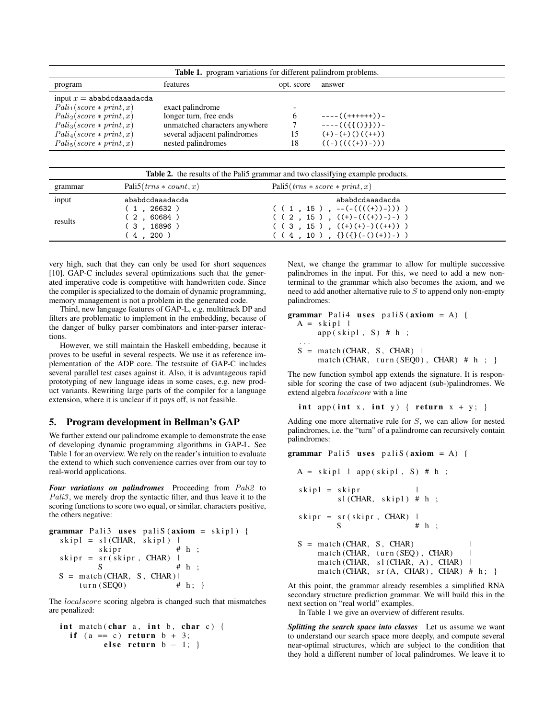<span id="page-7-0"></span>

| <b>Table 1.</b> program variations for different palindrom problems. |                               |            |                              |  |
|----------------------------------------------------------------------|-------------------------------|------------|------------------------------|--|
| program                                                              | features                      | opt. score | answer                       |  |
| input $x =$ ababdcdaaadacda                                          |                               |            |                              |  |
| $Pali1(score * print, x)$                                            | exact palindrome              |            |                              |  |
| $Pali2(score * print, x)$                                            | longer turn, free ends        | O          | $---( (+++++) ) -$           |  |
| $Pali3(score * print, x)$                                            | unmatched characters anywhere |            | $---((\{ \{ (\} \}) \})$ ) - |  |
| $Pali4(score * print, x)$                                            | several adjacent palindromes  | 15         | $(+)-(+)()((++))$            |  |
| $Pali5(score * print, x)$                                            | nested palindromes            | 18         | $((-)((((+))-)))$            |  |

<span id="page-7-1"></span>

| <b>Table 2.</b> the results of the Pali5 grammar and two classifying example products. |                                                                     |                                                                                                                                                                                                    |  |  |
|----------------------------------------------------------------------------------------|---------------------------------------------------------------------|----------------------------------------------------------------------------------------------------------------------------------------------------------------------------------------------------|--|--|
| grammar                                                                                | $Pali5(tms * count, x)$                                             | $Pali5(tms * score * print, x)$                                                                                                                                                                    |  |  |
| input<br>results                                                                       | ababdcdaaadacda<br>(1, 26632)<br>(2,60684 )<br>〔3,16896〕<br>4, 200) | ababdcdaaadacda<br>$((1, 15), -(-((((1))-)))$<br>$((2, 15), ((+)-(((+))-))$ )<br>$((3, 15), ((+)(+)-(+))$ )<br>$($ $($ $4$ $, 10$ $)$ $,$ $\{$ $\}$ $($ $\{$ $\}$ $($ $ ($ $)$ $($ $+$ $)$ $)$ $)$ |  |  |

very high, such that they can only be used for short sequences [\[10\]](#page-10-1). GAP-C includes several optimizations such that the generated imperative code is competitive with handwritten code. Since the compiler is specialized to the domain of dynamic programming, memory management is not a problem in the generated code.

Third, new language features of GAP-L, e.g. multitrack DP and filters are problematic to implement in the embedding, because of the danger of bulky parser combinators and inter-parser interactions.

However, we still maintain the Haskell embedding, because it proves to be useful in several respects. We use it as reference implementation of the ADP core. The testsuite of GAP-C includes several parallel test cases against it. Also, it is advantageous rapid prototyping of new language ideas in some cases, e.g. new product variants. Rewriting large parts of the compiler for a language extension, where it is unclear if it pays off, is not feasible.

#### 5. Program development in Bellman's GAP

We further extend our palindrome example to demonstrate the ease of developing dynamic programming algorithms in GAP-L. See Table [1](#page-7-0) for an overview. We rely on the reader's intuition to evaluate the extend to which such convenience carries over from our toy to real-world applications.

*Four variations on palindromes* Proceeding from Pali2 to Pali3, we merely drop the syntactic filter, and thus leave it to the scoring functions to score two equal, or similar, characters positive, the others negative:

```
grammar Pali3 uses paliS (axiom = skipl) {
 skip1 = s1 (CHAR, skip1) |
        skipr # h;
 skip = s r (skip, Gr)S \# h;
 S = match (CHAR, S, CHAR)turn(SEQ0) # h; }
```
The localscore scoring algebra is changed such that mismatches are penalized:

```
int match (char a, int b, char c) {
  if (a == c) return b + 3;
         else return b - 1; }
```
Next, we change the grammar to allow for multiple successive palindromes in the input. For this, we need to add a new nonterminal to the grammar which also becomes the axiom, and we need to add another alternative rule to  $S$  to append only non-empty palindromes:

```
grammar Pali4 uses paliS (axiom = A) {
  A = skipl |
      app(skipl, S) # h ;
   . . .
  S = match (CHAR, S, CHAR) |
```
 $match (CHAR, turn (SEQ0), CHAR) # h ;$ The new function symbol app extends the signature. It is responsible for scoring the case of two adjacent (sub-)palindromes. We

int app (int x, int y) { return  $x + y$ ; }

extend algebra *localscore* with a line

Adding one more alternative rule for S, we can allow for nested palindromes, i.e. the "turn" of a palindrome can recursively contain palindromes:

grammar Pali5 uses paliS ( $axiom = A$ ) {

```
A = skipl | app ( skipl , S ) # h ;
skip = skip = skip - \frac{1}{2}sl (CHAR, skipl) # h ;
skipr = sr(skipr, CHAR) |
        S # h;
S = match (CHAR, S, CHAR)match (CHAR, turn (SEQ), CHAR) |
    match (CHAR, sl (CHAR, A), CHAR) |
    match (CHAR, sr (A, CHAR), CHAR) + h;
```
At this point, the grammar already resembles a simplified RNA secondary structure prediction grammar. We will build this in the next section on "real world" examples.

In Table [1](#page-7-0) we give an overview of different results.

*Splitting the search space into classes* Let us assume we want to understand our search space more deeply, and compute several near-optimal structures, which are subject to the condition that they hold a different number of local palindromes. We leave it to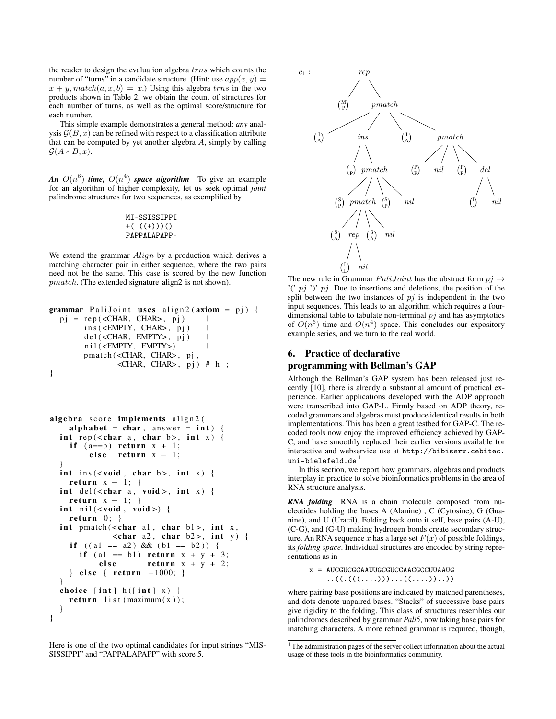the reader to design the evaluation algebra trns which counts the number of "turns" in a candidate structure. (Hint: use  $app(x, y) =$  $x + y$ , match $(a, x, b) = x$ .) Using this algebra trns in the two products shown in Table [2,](#page-7-1) we obtain the count of structures for each number of turns, as well as the optimal score/structure for each number.

This simple example demonstrates a general method: *any* analysis  $G(B, x)$  can be refined with respect to a classification attribute that can be computed by yet another algebra  $A$ , simply by calling  $\mathcal{G}(A * B, x)$ .

*An*  $O(n^6)$  *time,*  $O(n^4)$  *space algorithm* To give an example for an algorithm of higher complexity, let us seek optimal *joint* palindrome structures for two sequences, as exemplified by

```
MI-SSISSIPPI
+( ((+)))()
PAPPALAPAPP-
```
We extend the grammar Align by a production which derives a matching character pair in either sequence, where the two pairs need not be the same. This case is scored by the new function pmatch. (The extended signature align2 is not shown).

```
grammar PaliJoint uses align2 (\text{axiom} = \text{pj}) {
   pj = rep(<math>\text{CHAR}, \text{CHAR} >, pj)ins (<EMPTY, CHAR>, pj)
           del(<math>CHAR</math>, <math>EMPTY></math>, <math>pj</math>) <math>|</math>n i l (<EMPTY, EMPTY>) |
          pmatch (<CHAR, CHAR>, pj,
                     \triangleleftCHAR, CHAR>, pj) # h ;
```

```
}
```

```
algebra score implements align2 (
    alphabet = char, answer = int) {
  int rep(<char a, char b>, int x) {
    if (a == b) return x + 1;
         else return x - 1;
  }
  int ins (<void, char b>, int x) {
    return x - 1; }
  int del(<char a, void>, int x) {
    return x - 1; }
  int nil(<void, void >) {
    return 0; }
  int pmatch(<char al, char bl>, int x,
              \langle char a2, char b2>, int y) {
    if ((a1 == a2) \& (b1 == b2))if (a1 == b1) return x + y + 3;
           else return x + y + 2;
    } else { return −1000; }
  }
  choice \lceil \text{int} \rceil h(\lceil \text{int} \rceil x) {
    return list (maximum(x));
  }
}
```
Here is one of the two optimal candidates for input strings "MIS-SISSIPPI" and "PAPPALAPAPP" with score 5.



The new rule in Grammar  $PaliJoint$  has the abstract form  $pj \rightarrow$  $'(p)$  ')' pj. Due to insertions and deletions, the position of the split between the two instances of  $pj$  is independent in the two input sequences. This leads to an algorithm which requires a fourdimensional table to tabulate non-terminal  $pj$  and has asymptotics of  $O(n^6)$  time and  $O(n^4)$  space. This concludes our expository example series, and we turn to the real world.

# 6. Practice of declarative

## programming with Bellman's GAP

Although the Bellman's GAP system has been released just recently [\[10\]](#page-10-1), there is already a substantial amount of practical experience. Earlier applications developed with the ADP approach were transcribed into GAP-L. Firmly based on ADP theory, recoded grammars and algebras must produce identical results in both implementations. This has been a great testbed for GAP-C. The recoded tools now enjoy the improved efficiency achieved by GAP-C, and have smoothly replaced their earlier versions available for interactive and webservice use at [http://bibiserv.cebitec.](http://bibiserv.cebitec.uni-bielefeld.de) [uni-bielefeld.de](http://bibiserv.cebitec.uni-bielefeld.de)<sup>[1](#page-8-0)</sup>

In this section, we report how grammars, algebras and products interplay in practice to solve bioinformatics problems in the area of RNA structure analysis.

*RNA folding* RNA is a chain molecule composed from nucleotides holding the bases A (Alanine) , C (Cytosine), G (Guanine), and U (Uracil). Folding back onto it self, base pairs (A-U), (C-G), and (G-U) making hydrogen bonds create secondary structure. An RNA sequence x has a large set  $F(x)$  of possible foldings, its *folding space*. Individual structures are encoded by string representations as in

x = AUCGUCGCAAUUGCGUCCAACGCCUUAAUG ..((.(((....)))...((....))..))

where pairing base positions are indicated by matched parentheses, and dots denote unpaired bases. "Stacks" of successive base pairs give rigidity to the folding. This class of structures resembles our palindromes described by grammar *Pali5*, now taking base pairs for matching characters. A more refined grammar is required, though,

<span id="page-8-0"></span><sup>&</sup>lt;sup>1</sup> The administration pages of the server collect information about the actual usage of these tools in the bioinformatics community.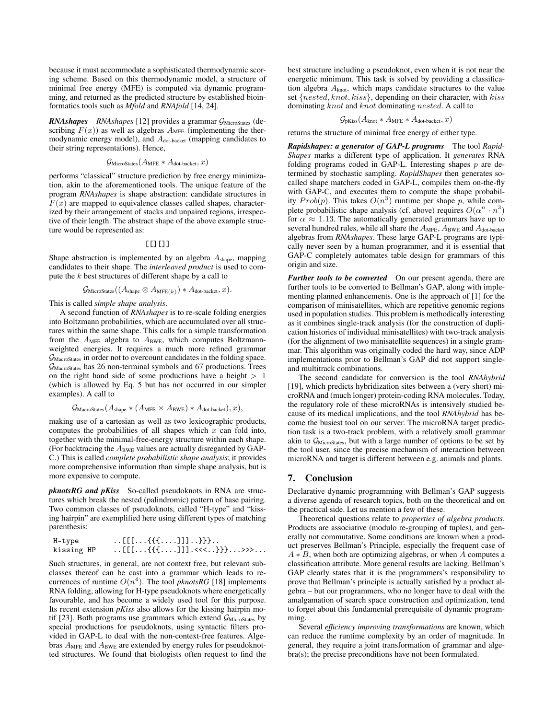because it must accommodate a sophisticated thermodynamic scoring scheme. Based on this thermodynamic model, a structure of minimal free energy (MFE) is computed via dynamic programming, and returned as the predicted structure by established bioinformatics tools such as *Mfold* and *RNAfold* [\[14,](#page-10-18) [24\]](#page-10-19).

*RNAshapes RNAshapes* [\[12\]](#page-10-4) provides a grammar  $\mathcal{G}_{\text{Microsoftates}}$  (describing  $F(x)$ ) as well as algebras  $A_{\text{MFE}}$  (implementing the thermodynamic energy model), and Adot-backet (mapping candidates to their string representations). Hence,

$$
\mathcal{G}_{\text{MicroStates}}(A_{\text{MFE}} * A_{\text{dot-backet}}, x)
$$

performs "classical" structure prediction by free energy minimization, akin to the aforementioned tools. The unique feature of the program *RNAshapes* is shape abstraction: candidate structures in  $F(x)$  are mapped to equivalence classes called shapes, characterized by their arrangement of stacks and unpaired regions, irrespective of their length. The abstract shape of the above example structure would be represented as:

#### $[[]$

Shape abstraction is implemented by an algebra  $A_{shape}$ , mapping candidates to their shape. The *interleaved product* is used to compute the k best structures of different shape by a call to

$$
\mathcal{G}_{\text{MicroStates}}((A_{\text{shape}} \otimes A_{\text{MFE}(k)}) * A_{\text{dot-backet}}, x).
$$

This is called *simple shape analysis*.

A second function of *RNAshapes* is to re-scale folding energies into Boltzmann probabilities, which are accumulated over all structures within the same shape. This calls for a simple transformation from the  $A_{MFE}$  algebra to  $A_{BWE}$ , which computes Boltzmannweighted energies. It requires a much more refined grammar GMacroStates in order not to overcount candidates in the folding space.  $\mathcal{G}_{\text{MacroStates}}$  has 26 non-terminal symbols and 67 productions. Trees on the right hand side of some productions have a height  $> 1$ (which is allowed by Eq. [5](#page-1-0) but has not occurred in our simpler examples). A call to

$$
\mathcal{G}_{\text{MacroStates}}(A_{\text{shape}} * (A_{\text{MFE}} \times A_{\text{BWE}}) * A_{\text{dot-backet}}), x),
$$

making use of a cartesian as well as two lexicographic products, computes the probabilities of all shapes which  $x$  can fold into, together with the minimal-free-energy structure within each shape. (For backtracing the ABWE values are actually disregarded by GAP-C.) This is called *complete probabilistic shape analysis*; it provides more comprehensive information than simple shape analysis, but is more expensive to compute.

*pknotsRG and pKiss* So-called pseudoknots in RNA are structures which break the nested (palindromic) pattern of base pairing. Two common classes of pseudoknots, called "H-type" and "kissing hairpin" are exemplified here using different types of matching parenthesis:

| H-type     | $\ldots$ [ [ [ $\ldots$ { { { $\ldots$ . ] ] $\ldots$ } } } $\ldots$ .      |
|------------|-----------------------------------------------------------------------------|
| kissing HP | $\ldots$ [ [ [ $\ldots$ { { { $\ldots$ , ] ] ] $\ldots$ <<<. . } } $\}$ >>> |

Such structures, in general, are not context free, but relevant subclasses thereof can be cast into a grammar which leads to recurrences of runtime  $O(n^4)$ . The tool *pknotsRG* [\[18\]](#page-10-5) implements RNA folding, allowing for H-type pseudoknots where energetically favourable, and has become a widely used tool for this purpose. Its recent extension *pKiss* also allows for the kissing hairpin mo-tif [\[23\]](#page-10-20). Both programs use grammars which extend  $\mathcal{G}_{\text{MicroStates}}$  by special productions for pseudoknots, using syntactic filters provided in GAP-L to deal with the non-context-free features. Algebras  $A_{MFE}$  and  $A_{BWE}$  are extended by energy rules for pseudoknotted structures. We found that biologists often request to find the best structure including a pseudoknot, even when it is not near the energetic minimum. This task is solved by providing a classification algebra  $A_{\text{knot}}$ , which maps candidate structures to the value set {nested, knot, kiss}, depending on their character, with kiss dominating knot and knot dominating nested. A call to

$$
\mathcal{G}_{\text{pKiss}}(A_{\text{knot}} * A_{\text{MFE}} * A_{\text{dot-backet}}, x)
$$

returns the structure of minimal free energy of either type.

*Rapidshapes: a generator of GAP-L programs* The tool *Rapid-Shapes* marks a different type of application. It *generates* RNA folding programs coded in GAP-L. Interesting shapes  $p$  are determined by stochastic sampling. *RapidShapes* then generates socalled shape matchers coded in GAP-L, compiles them on-the-fly with GAP-C, and executes them to compute the shape probability  $Prob(p)$ . This takes  $O(n^3)$  runtime per shape p, while complete probabilistic shape analysis (cf. above) requires  $O(\alpha^n \cdot n^3)$ for  $\alpha \approx 1.13$ . The automatically generated grammars have up to several hundred rules, while all share the  $A_{\text{MFE}}$ ,  $A_{\text{BWE}}$  and  $A_{\text{dot-backet}}$ algebras from *RNAshapes*. These large GAP-L programs are typically never seen by a human programmer, and it is essential that GAP-C completely automates table design for grammars of this origin and size.

*Further tools to be converted* On our present agenda, there are further tools to be converted to Bellman's GAP, along with implementing planned enhancements. One is the approach of [\[1\]](#page-10-17) for the comparison of minisatellites, which are repetitive genomic regions used in population studies. This problem is methodically interesting as it combines single-track analysis (for the construction of duplication histories of individual minisatellites) with two-track analysis (for the alignment of two minisatellite sequences) in a single grammar. This algorithm was originally coded the hard way, since ADP implementations prior to Bellman's GAP did not support singleand multitrack combinations.

The second candidate for conversion is the tool *RNAhybrid* [\[19\]](#page-10-6), which predicts hybridization sites between a (very short) microRNA and (much longer) protein-coding RNA molecules. Today, the regulatory role of these microRNAs is intensively studied because of its medical implications, and the tool *RNAhybrid* has become the busiest tool on our server. The microRNA target prediction task is a two-track problem, with a relatively small grammar akin to  $G<sub>Microsoftates</sub>$ , but with a large number of options to be set by the tool user, since the precise mechanism of interaction between microRNA and target is different between e.g. animals and plants.

## 7. Conclusion

Declarative dynamic programming with Bellman's GAP suggests a diverse agenda of research topics, both on the theoretical and on the practical side. Let us mention a few of these.

Theoretical questions relate to *properties of algebra products*. Products are associative (modulo re-grouping of tuples), and generally not commutative. Some conditions are known when a product preserves Bellman's Principle, especially the frequent case of  $A * B$ , when both are optimizing algebras, or when A computes a classification attribute. More general results are lacking. Bellman's GAP clearly states that it is the programmers's responsibility to prove that Bellman's principle is actually satisfied by a product algebra – but our programmers, who no longer have to deal with the amalgamation of search space construction and optimization, tend to forget about this fundamental prerequisite of dynamic programming.

Several *efficiency improving transformations* are known, which can reduce the runtime complexity by an order of magnitude. In general, they require a joint transformation of grammar and algebra(s); the precise preconditions have not been formulated.